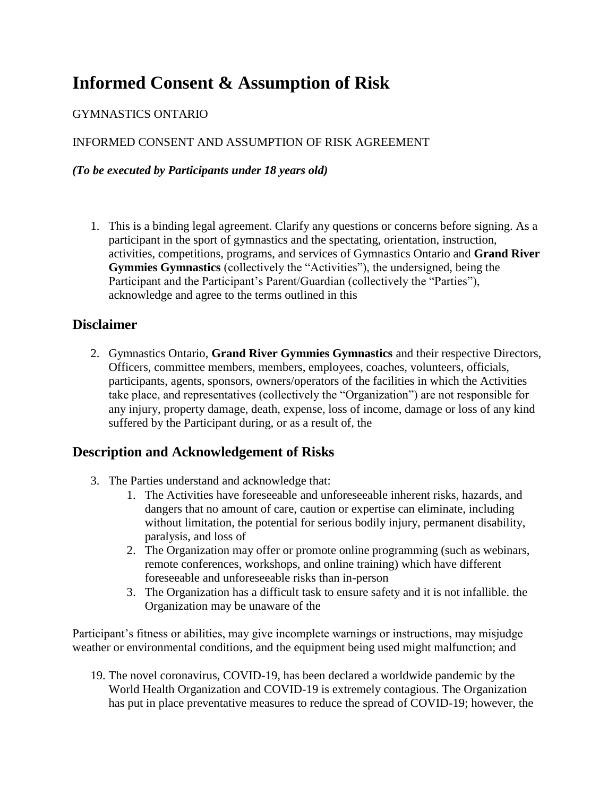# **Informed Consent & Assumption of Risk**

### GYMNASTICS ONTARIO

### INFORMED CONSENT AND ASSUMPTION OF RISK AGREEMENT

#### *(To be executed by Participants under 18 years old)*

1. This is a binding legal agreement. Clarify any questions or concerns before signing. As a participant in the sport of gymnastics and the spectating, orientation, instruction, activities, competitions, programs, and services of Gymnastics Ontario and **Grand River Gymmies Gymnastics** (collectively the "Activities"), the undersigned, being the Participant and the Participant's Parent/Guardian (collectively the "Parties"), acknowledge and agree to the terms outlined in this

### **Disclaimer**

2. Gymnastics Ontario, **Grand River Gymmies Gymnastics** and their respective Directors, Officers, committee members, members, employees, coaches, volunteers, officials, participants, agents, sponsors, owners/operators of the facilities in which the Activities take place, and representatives (collectively the "Organization") are not responsible for any injury, property damage, death, expense, loss of income, damage or loss of any kind suffered by the Participant during, or as a result of, the

## **Description and Acknowledgement of Risks**

- 3. The Parties understand and acknowledge that:
	- 1. The Activities have foreseeable and unforeseeable inherent risks, hazards, and dangers that no amount of care, caution or expertise can eliminate, including without limitation, the potential for serious bodily injury, permanent disability, paralysis, and loss of
	- 2. The Organization may offer or promote online programming (such as webinars, remote conferences, workshops, and online training) which have different foreseeable and unforeseeable risks than in-person
	- 3. The Organization has a difficult task to ensure safety and it is not infallible. the Organization may be unaware of the

Participant's fitness or abilities, may give incomplete warnings or instructions, may misjudge weather or environmental conditions, and the equipment being used might malfunction; and

19. The novel coronavirus, COVID-19, has been declared a worldwide pandemic by the World Health Organization and COVID-19 is extremely contagious. The Organization has put in place preventative measures to reduce the spread of COVID-19; however, the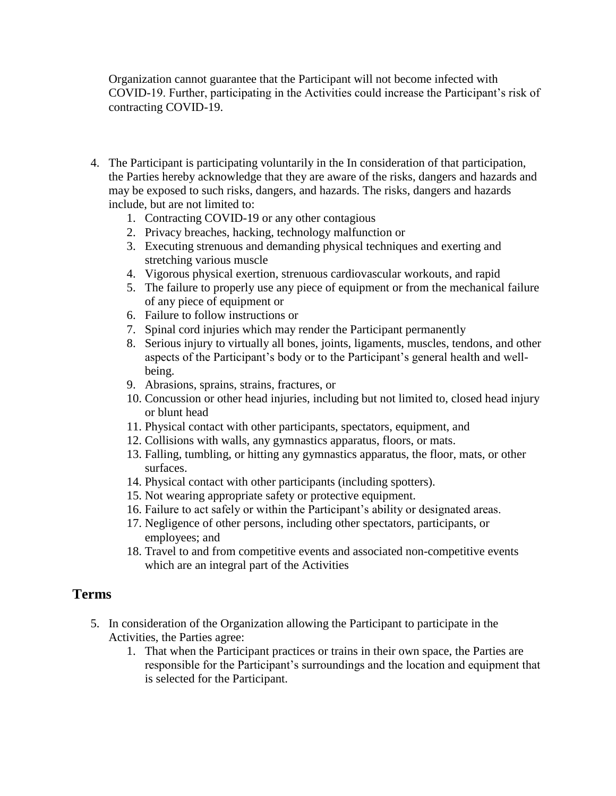Organization cannot guarantee that the Participant will not become infected with COVID-19. Further, participating in the Activities could increase the Participant's risk of contracting COVID-19.

- 4. The Participant is participating voluntarily in the In consideration of that participation, the Parties hereby acknowledge that they are aware of the risks, dangers and hazards and may be exposed to such risks, dangers, and hazards. The risks, dangers and hazards include, but are not limited to:
	- 1. Contracting COVID-19 or any other contagious
	- 2. Privacy breaches, hacking, technology malfunction or
	- 3. Executing strenuous and demanding physical techniques and exerting and stretching various muscle
	- 4. Vigorous physical exertion, strenuous cardiovascular workouts, and rapid
	- 5. The failure to properly use any piece of equipment or from the mechanical failure of any piece of equipment or
	- 6. Failure to follow instructions or
	- 7. Spinal cord injuries which may render the Participant permanently
	- 8. Serious injury to virtually all bones, joints, ligaments, muscles, tendons, and other aspects of the Participant's body or to the Participant's general health and wellbeing.
	- 9. Abrasions, sprains, strains, fractures, or
	- 10. Concussion or other head injuries, including but not limited to, closed head injury or blunt head
	- 11. Physical contact with other participants, spectators, equipment, and
	- 12. Collisions with walls, any gymnastics apparatus, floors, or mats.
	- 13. Falling, tumbling, or hitting any gymnastics apparatus, the floor, mats, or other surfaces.
	- 14. Physical contact with other participants (including spotters).
	- 15. Not wearing appropriate safety or protective equipment.
	- 16. Failure to act safely or within the Participant's ability or designated areas.
	- 17. Negligence of other persons, including other spectators, participants, or employees; and
	- 18. Travel to and from competitive events and associated non-competitive events which are an integral part of the Activities

### **Terms**

- 5. In consideration of the Organization allowing the Participant to participate in the Activities, the Parties agree:
	- 1. That when the Participant practices or trains in their own space, the Parties are responsible for the Participant's surroundings and the location and equipment that is selected for the Participant.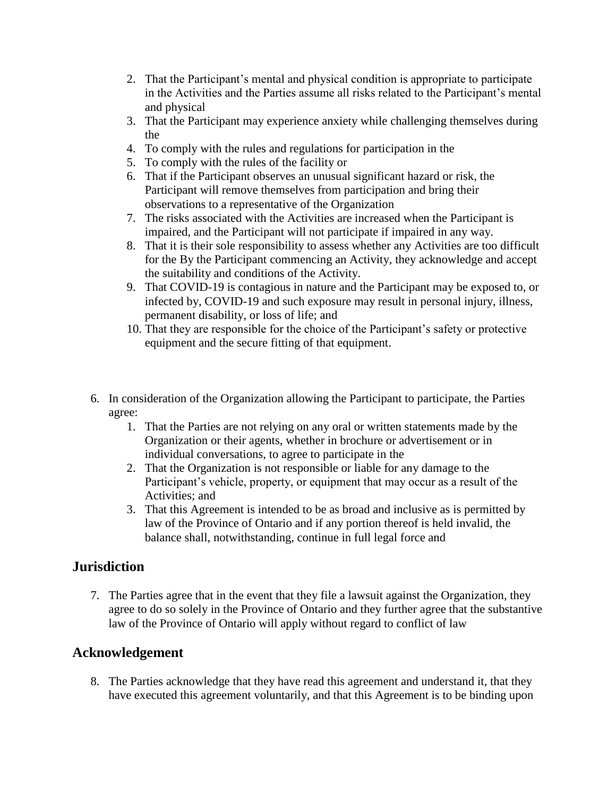- 2. That the Participant's mental and physical condition is appropriate to participate in the Activities and the Parties assume all risks related to the Participant's mental and physical
- 3. That the Participant may experience anxiety while challenging themselves during the
- 4. To comply with the rules and regulations for participation in the
- 5. To comply with the rules of the facility or
- 6. That if the Participant observes an unusual significant hazard or risk, the Participant will remove themselves from participation and bring their observations to a representative of the Organization
- 7. The risks associated with the Activities are increased when the Participant is impaired, and the Participant will not participate if impaired in any way.
- 8. That it is their sole responsibility to assess whether any Activities are too difficult for the By the Participant commencing an Activity, they acknowledge and accept the suitability and conditions of the Activity.
- 9. That COVID-19 is contagious in nature and the Participant may be exposed to, or infected by, COVID-19 and such exposure may result in personal injury, illness, permanent disability, or loss of life; and
- 10. That they are responsible for the choice of the Participant's safety or protective equipment and the secure fitting of that equipment.
- 6. In consideration of the Organization allowing the Participant to participate, the Parties agree:
	- 1. That the Parties are not relying on any oral or written statements made by the Organization or their agents, whether in brochure or advertisement or in individual conversations, to agree to participate in the
	- 2. That the Organization is not responsible or liable for any damage to the Participant's vehicle, property, or equipment that may occur as a result of the Activities; and
	- 3. That this Agreement is intended to be as broad and inclusive as is permitted by law of the Province of Ontario and if any portion thereof is held invalid, the balance shall, notwithstanding, continue in full legal force and

## **Jurisdiction**

7. The Parties agree that in the event that they file a lawsuit against the Organization, they agree to do so solely in the Province of Ontario and they further agree that the substantive law of the Province of Ontario will apply without regard to conflict of law

## **Acknowledgement**

8. The Parties acknowledge that they have read this agreement and understand it, that they have executed this agreement voluntarily, and that this Agreement is to be binding upon